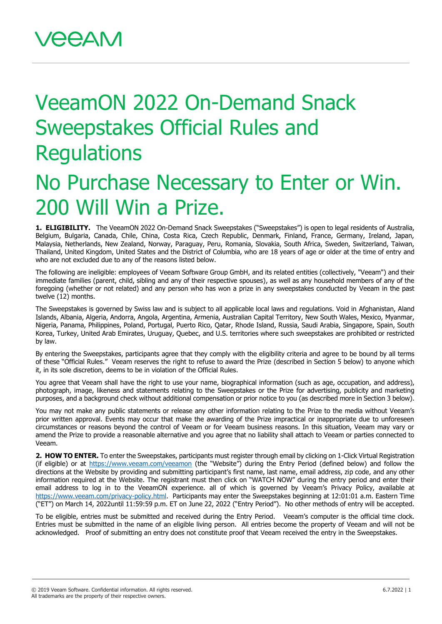## VeeamON 2022 On-Demand Snack Sweepstakes Official Rules and **Regulations**

## No Purchase Necessary to Enter or Win. 200 Will Win a Prize.

1. ELIGIBILITY. The VeeamON 2022 On-Demand Snack Sweepstakes ("Sweepstakes") is open to legal residents of Australia, Belgium, Bulgaria, Canada, Chile, China, Costa Rica, Czech Republic, Denmark, Finland, France, Germany, Ireland, Japan, Malaysia, Netherlands, New Zealand, Norway, Paraguay, Peru, Romania, Slovakia, South Africa, Sweden, Switzerland, Taiwan, Thailand, United Kingdom, United States and the District of Columbia, who are 18 years of age or older at the time of entry and who are not excluded due to any of the reasons listed below.

The following are ineligible: employees of Veeam Software Group GmbH, and its related entities (collectively, "Veeam") and their immediate families (parent, child, sibling and any of their respective spouses), as well as any household members of any of the foregoing (whether or not related) and any person who has won a prize in any sweepstakes conducted by Veeam in the past twelve (12) months.

The Sweepstakes is governed by Swiss law and is subject to all applicable local laws and regulations. Void in Afghanistan, Aland Islands, Albania, Algeria, Andorra, Angola, Argentina, Armenia, Australian Capital Territory, New South Wales, Mexico, Myanmar, Nigeria, Panama, Philippines, Poland, Portugal, Puerto Rico, Qatar, Rhode Island, Russia, Saudi Arabia, Singapore, Spain, South Korea, Turkey, United Arab Emirates, Uruguay, Quebec, and U.S. territories where such sweepstakes are prohibited or restricted by law.

By entering the Sweepstakes, participants agree that they comply with the eligibility criteria and agree to be bound by all terms of these "Official Rules." Veeam reserves the right to refuse to award the Prize (described in Section 5 below) to anyone which it, in its sole discretion, deems to be in violation of the Official Rules.

You agree that Veeam shall have the right to use your name, biographical information (such as age, occupation, and address), photograph, image, likeness and statements relating to the Sweepstakes or the Prize for advertising, publicity and marketing purposes, and a background check without additional compensation or prior notice to you (as described more in Section 3 below).

You may not make any public statements or release any other information relating to the Prize to the media without Veeam's prior written approval. Events may occur that make the awarding of the Prize impractical or inappropriate due to unforeseen circumstances or reasons beyond the control of Veeam or for Veeam business reasons. In this situation, Veeam may vary or amend the Prize to provide a reasonable alternative and you agree that no liability shall attach to Veeam or parties connected to Veeam.

**2. HOW TO ENTER.** To enter the Sweepstakes, participants must register through email by clicking on 1-Click Virtual Registration (if eligible) or at<https://www.veeam.com/veeamon> (the "Website") during the Entry Period (defined below) and follow the directions at the Website by providing and submitting participant's first name, last name, email address, zip code, and any other information required at the Website. The registrant must then click on "WATCH NOW" during the entry period and enter their email address to log in to the VeeamON experience. all of which is governed by Veeam's Privacy Policy, available at [https://www.veeam.com/privacy-policy.html.](https://www.veeam.com/privacy-policy.html) Participants may enter the Sweepstakes beginning at 12:01:01 a.m. Eastern Time ("ET") on March 14, 2022until 11:59:59 p.m. ET on June 22, 2022 ("Entry Period"). No other methods of entry will be accepted.

To be eligible, entries must be submitted and received during the Entry Period. Veeam's computer is the official time clock. Entries must be submitted in the name of an eligible living person. All entries become the property of Veeam and will not be acknowledged. Proof of submitting an entry does not constitute proof that Veeam received the entry in the Sweepstakes.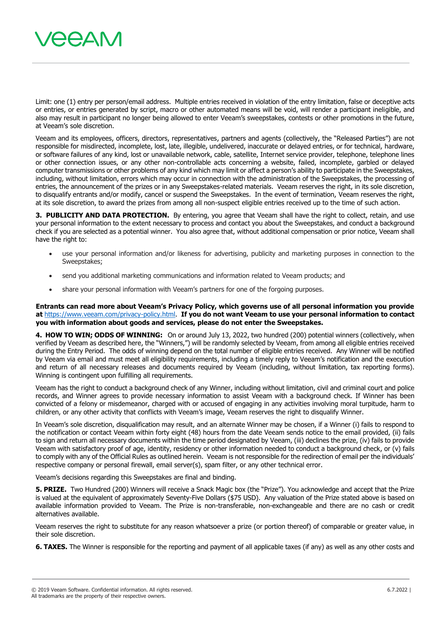

Limit: one (1) entry per person/email address. Multiple entries received in violation of the entry limitation, false or deceptive acts or entries, or entries generated by script, macro or other automated means will be void, will render a participant ineligible, and also may result in participant no longer being allowed to enter Veeam's sweepstakes, contests or other promotions in the future, at Veeam's sole discretion.

Veeam and its employees, officers, directors, representatives, partners and agents (collectively, the "Released Parties") are not responsible for misdirected, incomplete, lost, late, illegible, undelivered, inaccurate or delayed entries, or for technical, hardware, or software failures of any kind, lost or unavailable network, cable, satellite, Internet service provider, telephone, telephone lines or other connection issues, or any other non-controllable acts concerning a website, failed, incomplete, garbled or delayed computer transmissions or other problems of any kind which may limit or affect a person's ability to participate in the Sweepstakes, including, without limitation, errors which may occur in connection with the administration of the Sweepstakes, the processing of entries, the announcement of the prizes or in any Sweepstakes-related materials. Veeam reserves the right, in its sole discretion, to disqualify entrants and/or modify, cancel or suspend the Sweepstakes. In the event of termination, Veeam reserves the right, at its sole discretion, to award the prizes from among all non-suspect eligible entries received up to the time of such action.

**3. PUBLICITY AND DATA PROTECTION.** By entering, you agree that Veeam shall have the right to collect, retain, and use your personal information to the extent necessary to process and contact you about the Sweepstakes, and conduct a background check if you are selected as a potential winner. You also agree that, without additional compensation or prior notice, Veeam shall have the right to:

- use your personal information and/or likeness for advertising, publicity and marketing purposes in connection to the Sweepstakes;
- send you additional marketing communications and information related to Veeam products; and
- share your personal information with Veeam's partners for one of the forgoing purposes.

**Entrants can read more about Veeam's Privacy Policy, which governs use of all personal information you provide at** [https://www.veeam.com/privacy-policy.html.](https://www.veeam.com/privacy-policy.html) **If you do not want Veeam to use your personal information to contact you with information about goods and services, please do not enter the Sweepstakes.**

**4. HOW TO WIN; ODDS OF WINNING:** On or around July 13, 2022, two hundred (200) potential winners (collectively, when verified by Veeam as described here, the "Winners,") will be randomly selected by Veeam, from among all eligible entries received during the Entry Period. The odds of winning depend on the total number of eligible entries received. Any Winner will be notified by Veeam via email and must meet all eligibility requirements, including a timely reply to Veeam's notification and the execution and return of all necessary releases and documents required by Veeam (including, without limitation, tax reporting forms). Winning is contingent upon fulfilling all requirements.

Veeam has the right to conduct a background check of any Winner, including without limitation, civil and criminal court and police records, and Winner agrees to provide necessary information to assist Veeam with a background check. If Winner has been convicted of a felony or misdemeanor, charged with or accused of engaging in any activities involving moral turpitude, harm to children, or any other activity that conflicts with Veeam's image, Veeam reserves the right to disqualify Winner.

In Veeam's sole discretion, disqualification may result, and an alternate Winner may be chosen, if a Winner (i) fails to respond to the notification or contact Veeam within forty eight (48) hours from the date Veeam sends notice to the email provided, (ii) fails to sign and return all necessary documents within the time period designated by Veeam, (iii) declines the prize, (iv) fails to provide Veeam with satisfactory proof of age, identity, residency or other information needed to conduct a background check, or (v) fails to comply with any of the Official Rules as outlined herein. Veeam is not responsible for the redirection of email per the individuals' respective company or personal firewall, email server(s), spam filter, or any other technical error.

Veeam's decisions regarding this Sweepstakes are final and binding.

**5. PRIZE.** Two Hundred (200) Winners will receive a Snack Magic box (the "Prize"). You acknowledge and accept that the Prize is valued at the equivalent of approximately Seventy-Five Dollars (\$75 USD). Any valuation of the Prize stated above is based on available information provided to Veeam. The Prize is non-transferable, non-exchangeable and there are no cash or credit alternatives available.

Veeam reserves the right to substitute for any reason whatsoever a prize (or portion thereof) of comparable or greater value, in their sole discretion.

**6. TAXES.** The Winner is responsible for the reporting and payment of all applicable taxes (if any) as well as any other costs and

<sup>© 2019</sup> Veeam Software. Confidential information. All rights reserved. All trademarks are the property of their respective owners.